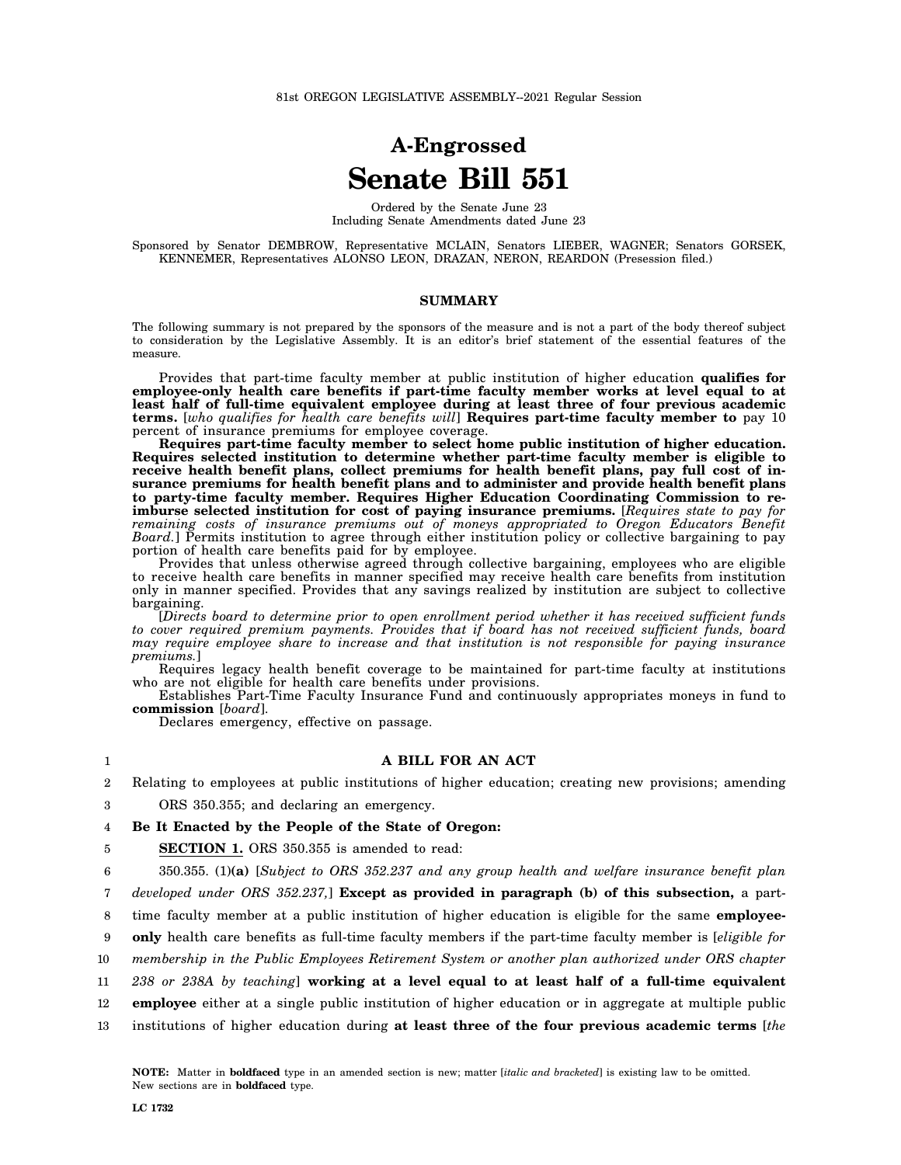## **A-Engrossed Senate Bill 551**

Ordered by the Senate June 23 Including Senate Amendments dated June 23

Sponsored by Senator DEMBROW, Representative MCLAIN, Senators LIEBER, WAGNER; Senators GORSEK, KENNEMER, Representatives ALONSO LEON, DRAZAN, NERON, REARDON (Presession filed.)

## **SUMMARY**

The following summary is not prepared by the sponsors of the measure and is not a part of the body thereof subject to consideration by the Legislative Assembly. It is an editor's brief statement of the essential features of the measure.

Provides that part-time faculty member at public institution of higher education **qualifies for employee-only health care benefits if part-time faculty member works at level equal to at least half of full-time equivalent employee during at least three of four previous academic terms.** [*who qualifies for health care benefits will*] **Requires part-time faculty member to** pay 10 percent of insurance premiums for employee coverage.

**Requires part-time faculty member to select home public institution of higher education. Requires selected institution to determine whether part-time faculty member is eligible to receive health benefit plans, collect premiums for health benefit plans, pay full cost of insurance premiums for health benefit plans and to administer and provide health benefit plans to party-time faculty member. Requires Higher Education Coordinating Commission to reimburse selected institution for cost of paying insurance premiums.** [*Requires state to pay for remaining costs of insurance premiums out of moneys appropriated to Oregon Educators Benefit Board.*] Permits institution to agree through either institution policy or collective bargaining to pay portion of health care benefits paid for by employee.

Provides that unless otherwise agreed through collective bargaining, employees who are eligible to receive health care benefits in manner specified may receive health care benefits from institution only in manner specified. Provides that any savings realized by institution are subject to collective bargaining.

[*Directs board to determine prior to open enrollment period whether it has received sufficient funds to cover required premium payments. Provides that if board has not received sufficient funds, board may require employee share to increase and that institution is not responsible for paying insurance premiums.*]

Requires legacy health benefit coverage to be maintained for part-time faculty at institutions who are not eligible for health care benefits under provisions.

Establishes Part-Time Faculty Insurance Fund and continuously appropriates moneys in fund to **commission** [*board*].

Declares emergency, effective on passage.

## **A BILL FOR AN ACT**

2 Relating to employees at public institutions of higher education; creating new provisions; amending

3 ORS 350.355; and declaring an emergency.

4 **Be It Enacted by the People of the State of Oregon:**

5 **SECTION 1.** ORS 350.355 is amended to read:

6 350.355. (1)**(a)** [*Subject to ORS 352.237 and any group health and welfare insurance benefit plan*

7 *developed under ORS 352.237,*] **Except as provided in paragraph (b) of this subsection,** a part-

8 time faculty member at a public institution of higher education is eligible for the same **employee-**

9 **only** health care benefits as full-time faculty members if the part-time faculty member is [*eligible for*

10 *membership in the Public Employees Retirement System or another plan authorized under ORS chapter*

11 *238 or 238A by teaching*] **working at a level equal to at least half of a full-time equivalent**

12 **employee** either at a single public institution of higher education or in aggregate at multiple public

13 institutions of higher education during **at least three of the four previous academic terms** [*the*

1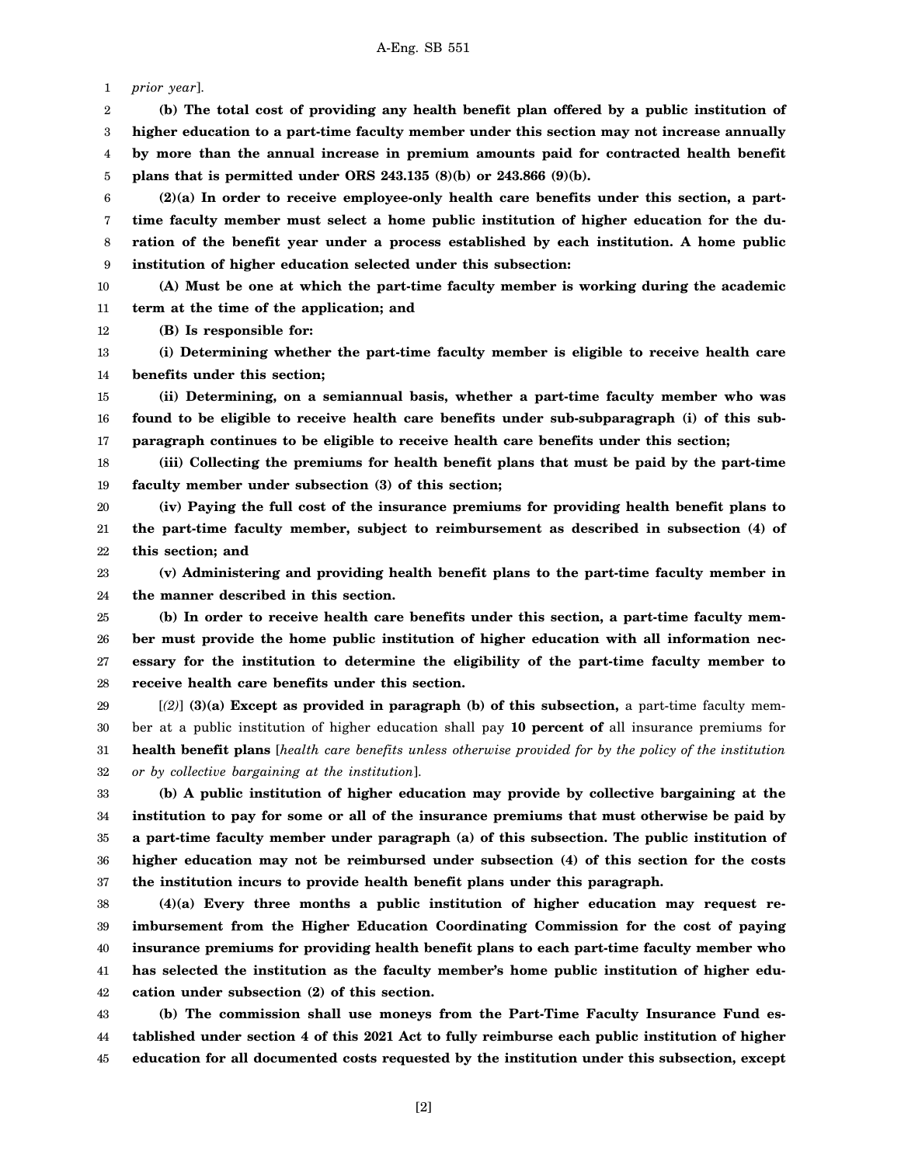1 *prior year*].

2 3 4 5 **(b) The total cost of providing any health benefit plan offered by a public institution of higher education to a part-time faculty member under this section may not increase annually by more than the annual increase in premium amounts paid for contracted health benefit plans that is permitted under ORS 243.135 (8)(b) or 243.866 (9)(b).**

6 7 8 9 **(2)(a) In order to receive employee-only health care benefits under this section, a parttime faculty member must select a home public institution of higher education for the duration of the benefit year under a process established by each institution. A home public institution of higher education selected under this subsection:**

10 11 **(A) Must be one at which the part-time faculty member is working during the academic term at the time of the application; and**

12 **(B) Is responsible for:**

13 14 **(i) Determining whether the part-time faculty member is eligible to receive health care benefits under this section;**

15 16 17 **(ii) Determining, on a semiannual basis, whether a part-time faculty member who was found to be eligible to receive health care benefits under sub-subparagraph (i) of this subparagraph continues to be eligible to receive health care benefits under this section;**

18 19 **(iii) Collecting the premiums for health benefit plans that must be paid by the part-time faculty member under subsection (3) of this section;**

20 21 22 **(iv) Paying the full cost of the insurance premiums for providing health benefit plans to the part-time faculty member, subject to reimbursement as described in subsection (4) of this section; and**

23 24 **(v) Administering and providing health benefit plans to the part-time faculty member in the manner described in this section.**

25 26 27 28 **(b) In order to receive health care benefits under this section, a part-time faculty member must provide the home public institution of higher education with all information necessary for the institution to determine the eligibility of the part-time faculty member to receive health care benefits under this section.**

29 30 31 32 [*(2)*] **(3)(a) Except as provided in paragraph (b) of this subsection,** a part-time faculty member at a public institution of higher education shall pay **10 percent of** all insurance premiums for **health benefit plans** [*health care benefits unless otherwise provided for by the policy of the institution or by collective bargaining at the institution*].

33 34 35 36 37 **(b) A public institution of higher education may provide by collective bargaining at the institution to pay for some or all of the insurance premiums that must otherwise be paid by a part-time faculty member under paragraph (a) of this subsection. The public institution of higher education may not be reimbursed under subsection (4) of this section for the costs the institution incurs to provide health benefit plans under this paragraph.**

38 39 40 41 42 **(4)(a) Every three months a public institution of higher education may request reimbursement from the Higher Education Coordinating Commission for the cost of paying insurance premiums for providing health benefit plans to each part-time faculty member who has selected the institution as the faculty member's home public institution of higher education under subsection (2) of this section.**

43 44 45 **(b) The commission shall use moneys from the Part-Time Faculty Insurance Fund established under section 4 of this 2021 Act to fully reimburse each public institution of higher education for all documented costs requested by the institution under this subsection, except**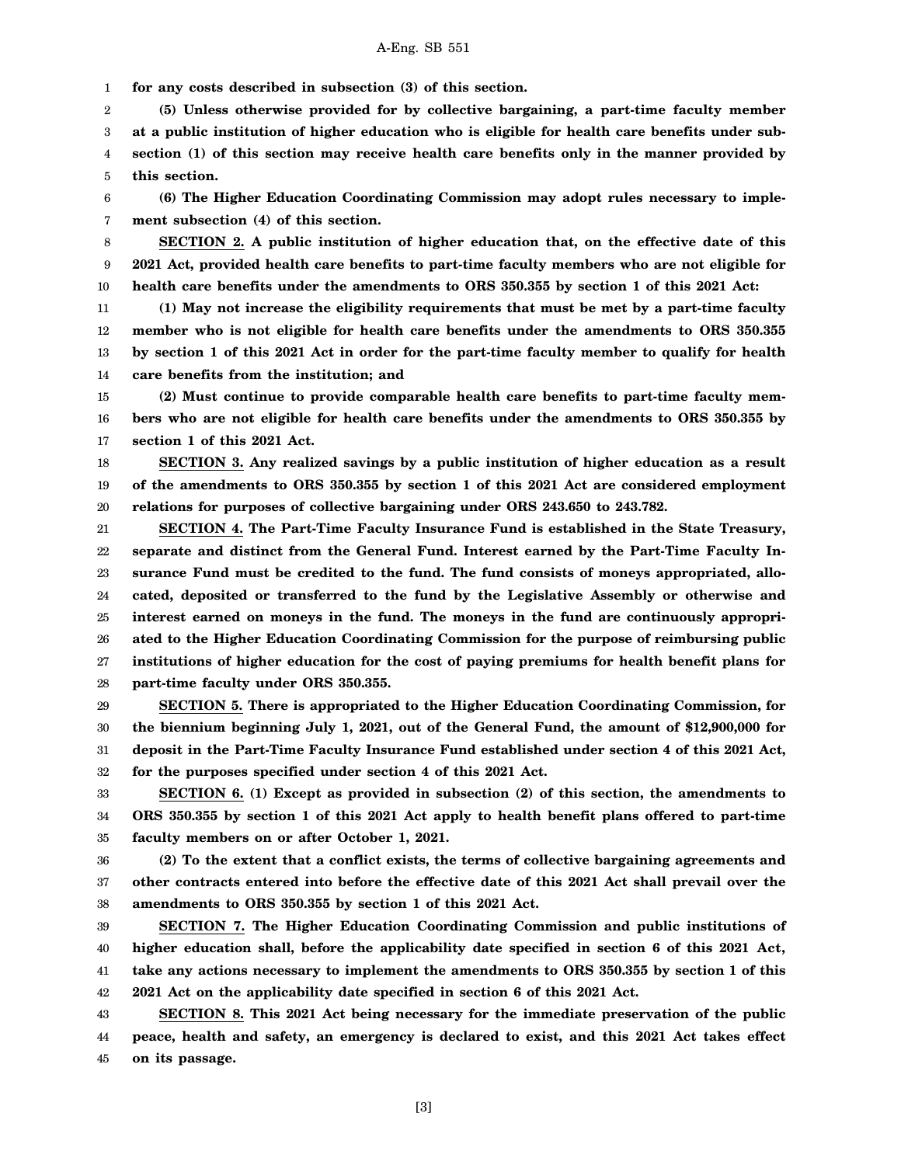1 **for any costs described in subsection (3) of this section.**

2 3 4 5 **(5) Unless otherwise provided for by collective bargaining, a part-time faculty member at a public institution of higher education who is eligible for health care benefits under subsection (1) of this section may receive health care benefits only in the manner provided by this section.**

6 7 **(6) The Higher Education Coordinating Commission may adopt rules necessary to implement subsection (4) of this section.**

8 9 10 **SECTION 2. A public institution of higher education that, on the effective date of this 2021 Act, provided health care benefits to part-time faculty members who are not eligible for health care benefits under the amendments to ORS 350.355 by section 1 of this 2021 Act:**

11 12 13 14 **(1) May not increase the eligibility requirements that must be met by a part-time faculty member who is not eligible for health care benefits under the amendments to ORS 350.355 by section 1 of this 2021 Act in order for the part-time faculty member to qualify for health care benefits from the institution; and**

15 16 17 **(2) Must continue to provide comparable health care benefits to part-time faculty members who are not eligible for health care benefits under the amendments to ORS 350.355 by section 1 of this 2021 Act.**

18 19 20 **SECTION 3. Any realized savings by a public institution of higher education as a result of the amendments to ORS 350.355 by section 1 of this 2021 Act are considered employment relations for purposes of collective bargaining under ORS 243.650 to 243.782.**

21 22 23 24 25 26 27 28 **SECTION 4. The Part-Time Faculty Insurance Fund is established in the State Treasury, separate and distinct from the General Fund. Interest earned by the Part-Time Faculty Insurance Fund must be credited to the fund. The fund consists of moneys appropriated, allocated, deposited or transferred to the fund by the Legislative Assembly or otherwise and interest earned on moneys in the fund. The moneys in the fund are continuously appropriated to the Higher Education Coordinating Commission for the purpose of reimbursing public institutions of higher education for the cost of paying premiums for health benefit plans for part-time faculty under ORS 350.355.**

29 30 31 32 **SECTION 5. There is appropriated to the Higher Education Coordinating Commission, for the biennium beginning July 1, 2021, out of the General Fund, the amount of \$12,900,000 for deposit in the Part-Time Faculty Insurance Fund established under section 4 of this 2021 Act, for the purposes specified under section 4 of this 2021 Act.**

33 34 35 **SECTION 6. (1) Except as provided in subsection (2) of this section, the amendments to ORS 350.355 by section 1 of this 2021 Act apply to health benefit plans offered to part-time faculty members on or after October 1, 2021.**

36 37 38 **(2) To the extent that a conflict exists, the terms of collective bargaining agreements and other contracts entered into before the effective date of this 2021 Act shall prevail over the amendments to ORS 350.355 by section 1 of this 2021 Act.**

39 40 41 42 **SECTION 7. The Higher Education Coordinating Commission and public institutions of higher education shall, before the applicability date specified in section 6 of this 2021 Act, take any actions necessary to implement the amendments to ORS 350.355 by section 1 of this 2021 Act on the applicability date specified in section 6 of this 2021 Act.**

43 44 45 **SECTION 8. This 2021 Act being necessary for the immediate preservation of the public peace, health and safety, an emergency is declared to exist, and this 2021 Act takes effect on its passage.**

[3]